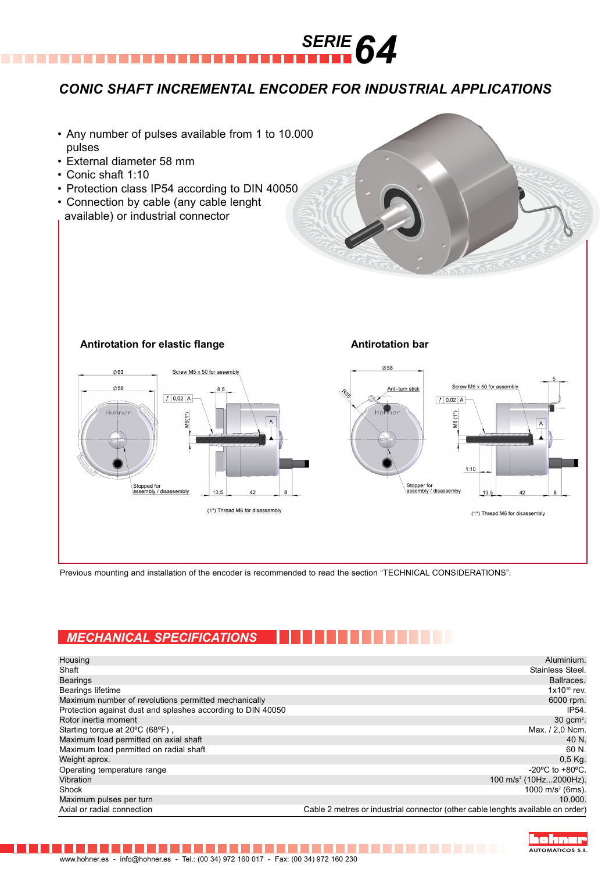

## *CONIC SHAFT INCREMENTAL ENCODER FOR INDUSTRIAL APPLICATIONS*

- Any number of pulses available from 1 to 10.000 pulses
- External diameter 58 mm
- Conic shaft 1:10
- Protection class IP54 according to DIN 40050
- Connection by cable (any cable lenght available) or industrial connector







Previous mounting and installation of the encoder is recommended to read the section "TECHNICAL CONSIDERATIONS".

## *MECHANICAL SPECIFICATIONS*

| Housing                                                     | Aluminium.                                                                      |
|-------------------------------------------------------------|---------------------------------------------------------------------------------|
| Shaft                                                       | Stainless Steel.                                                                |
| <b>Bearings</b>                                             | Ballraces.                                                                      |
| <b>Bearings lifetime</b>                                    | $1x10^{10}$ rev.                                                                |
| Maximum number of revolutions permitted mechanically        | 6000 rpm.                                                                       |
| Protection against dust and splashes according to DIN 40050 | IP54.                                                                           |
| Rotor inertia moment                                        | $30$ qcm <sup>2</sup> .                                                         |
| Starting torque at 20°C (68°F),                             | Max. / 2,0 Ncm.                                                                 |
| Maximum load permitted on axial shaft                       | 40 N.                                                                           |
| Maximum load permitted on radial shaft                      | 60 N.                                                                           |
| Weight aprox.                                               | $0.5$ Kg.                                                                       |
| Operating temperature range                                 | $-20^{\circ}$ C to $+80^{\circ}$ C.                                             |
| Vibration                                                   | 100 m/s <sup>2</sup> (10Hz2000Hz).                                              |
| Shock                                                       | 1000 m/s <sup>2</sup> (6ms).                                                    |
| Maximum pulses per turn                                     | 10.000.                                                                         |
| Axial or radial connection                                  | Cable 2 metres or industrial connector (other cable lenghts available on order) |